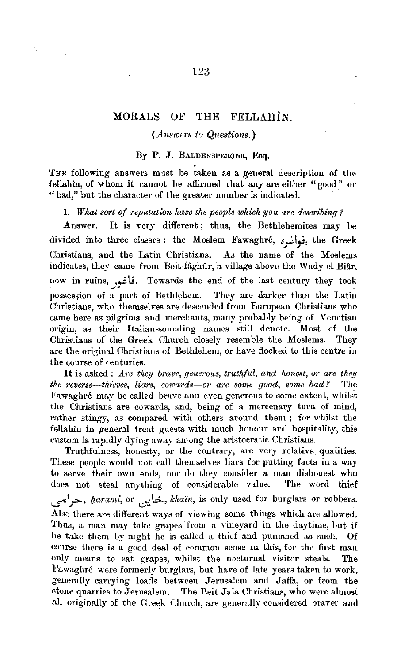## **MORALS OF THE FELLAHIN.**

#### *(Answers to Questions.}*

### By P. J. BALDENSPERGER, Esq.

THE following answers must be taken as a general description of the fellahin, of whom it cannot be affirmed that any are either "good" or "bad," but the character of the greater number is indicated.

#### 1. What sort of reputation have the people which you are describing?

Answer. It is very different; thus, the Bethlehemites may be divided into three classes: the Moslem Fawaghre,  $i_j$ , the Greek Christians, and the Latin Christians. As the name of the Moslems indicates, they came from Beit-fâghûr, a village above the Wady el Biâr, now in ruins, *\_J\_,-C* \,,;. Towards the end of the last century they took possession of a part of Bethlehem. They are darker than the Latin Christians, who themselves are descended from European Christians who came here as pilgrims and merchants, many probably being of Venetiau origin, as their Italian-sounding names still denote. Most of the Christians of the Greek Church closely resemble the Moslems. They are the original Christians of Bethlehem, or have flocked to this centre in the course of centuries.

It is asked : *Are they brave, generous, truthful, and honest, or are they* the reverse---thieves, liars, cowards-or are some good, some bad? The Fawaghré may be called brave and even generous to some extent, whilst the Christiaus are cowards, and, being of a mercenary turn of mind, rather stingy, as compared with others around them ; for whilst the fellahin in general treat guests with much honour and hospitality, this custom is rapidly dying away among the aristocratic Christians.

Truthfulness, honesty, or the contrary, are very relative qualities. These people would not call themselves liars for putting facts in a way to serve their own ends, nor do they consider a man dishonest who does not steal anything of considerable value. The word thief i.\_;"1,:,--, *l;wra111i,* or i.:,J:'.k:.., *lcha'in,* is only used for burglars or robbers. Also there are different ways of viewing some thiugs which are allowed. Thus, a man may take grapes from a vineyard in the daytime, but if he take them by night he is called a thief and punished as such. Of course there is a good deal of common sense in this, for the first man only means to eat grapes, whilst the nocturnal visitor steals. Fawaghre were formerly burglars, but have of late years taken to work, generally carrying loads between Jerusalem and Jaffa, or from the stone quarries to Jerusalem. The Beit Jala Christians, who were almost all originally of the Greek Church, are generally considered braver and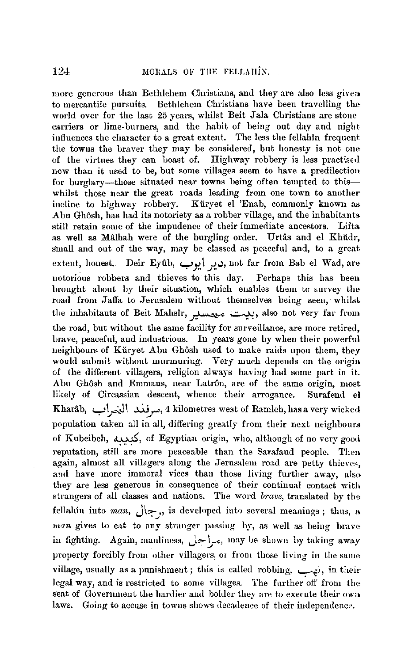more generous than Bethlehem Christians, and they are also less given to mercantile pursuits. Bethlehem Christians have been travelling the world over for the last 25 years, whilst Beit Jala Christians are stonecarriers or lime-burners, and the habit of being out day and night influences the character to a great extent. The less the fellahin frequent the towns the braver they may be considered, but honesty is not one of the virtues they can boast of. Highway robbery is less practised now than it used to be, but some villages seem to have a predilection for burglary-those situated near towns being often tempted to thiswhilst those near the great roads leading from one town to another incline to highway robbery. Kuryet el 'Enab, commonly known as Abu Ghôsh, has had its notoriety as a robber village, and the inhabitants still retain some of the impudence of their immediate ancestors. Lifta. as well as Mâlhah were of the burgling order. Urtâs and el Khüdr, small and out of the way, may be classed as peaceful and, to a great extent, honest. Deir Eyûb, دير أيوب, not far from Bab el Wad, are notorious robbers and thieves tu this day. Perhaps this has been brought about by their situation, which enables them to survey the road from Jaffa to Jerusalem without themselves being seen, whilst the inhabitants of Beit Mahsîr, بييت ميمسليب, also not very far from the road, but without the same facility for surveillance, are more retired, brave, peaceful, and industrious. In years gone by when their powerful neighbours of Küryet Abu Ghôsh used to make raids upou them, they would submit without murmuring. Very much depends on the origin of the different villagers, religion always having had some part in it. Abu Ghôsh and Emmaus, near Latrôn, are of the same origin, most likely of Circassian descent, whence their arrogance. Surafend el Kharab, **c\_:\** ~l \ ~ ,..,, 4 kilometres west uf Ramleh, has a very wicked • ~ *.J*  population taken all in all, differing greatly from their next neighbours of Kubeibeh, ¥, of Egyptian origin, who, although of no very good reputation, still are more peaceable than the Sarafaud people. Then again, almost all villagers along the Jerusalem road are petty thieves, and have more immoral vices than those living further away, also they are less generous in consequence of their continual contact with strangers of all classes and nations. The word *brave*, translated by the fellahin into *man*,  $\sqrt{ }$ , is developed into several meanings; thus, a *man* gives to eat to any stranger passing hy, as well as being brave in fighting. Again, manliness, مراجل, may be shown by taking away property forcibly from other villagers, or from those living in the same village, usually as a punishment; this is called robbing, نهب; in their legal way, and is restricted to some villages. The further off from the seat of Government the hardier and bohler they are to execute their owu laws. Going to accuse in towns shows decadence of their independence.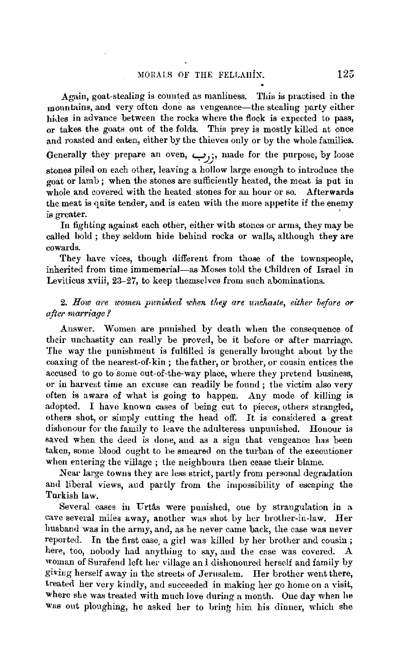Again, goat-stealing is counted as manliness. This is practised in the mountains, and very often done as vengeance—the stealing party either hides in advance between the rocks where the flock is expected to pass, or takes the goats out of the folds. This prey is mostly killed at once and roasted and eaten, either by the thieves only or by the whole families. Generally they prepare an oven,  $\leftrightarrow$ ;, made for the purpose, by loose stones piled on each other, leaving a hollow large enough to introduce the goat or lamb; when the stones are sufficiently heated, the meat is put in whole and covered with the heated stones for an hour or so. Afterwards the meat is quite tender, and is eaten with the more appetite if the enemy is greater.

In fighting against each other, either with stones or arms, they may be called bold ; they seldom hide behind rocks or walls, although they are cowards.

They have vices, though different from those of the townspeople, inherited from time immemerial-as Moses told the Children of Israel in Leviticus xviii, 23-27, to keep themselves from such abominations.

## 2. How are women punished when they are unchaste, either before or *after marriage* 'I

Answer. Women are punished by death when the consequence of their unchastity can really be proved, be it before or after marriago. The way the punishment is fultilled is generally brought about by the coaxing of the nearest-of-kin; the father, or brother, or cousin entices the accused to go to some out-of-the-way place, where they pretend business, or in harvest time an excuse can readily be found ; the victim also very often is aware of what is going to happen. Any mode of killing is adopted. I have known cases of being cut to pieces, others strangled, others shot, or simply cutting the head off. It is considered a great dishonour for the family to leave the adulteress unpunished. Honour is saved when the deed is done, and as a sign that vengeance has been taken, some blood ought to be smeared on the turban of the executioner when entering the village; the neighbours then cease their blame.

Near large towns they are less strict, partly from personal degradation and liberal views, and partly from the impossibility of escaping the Turkish law.

Several cases in Urtâs were punished, one by strangulation in a cave several miles away, another was shot by her brother-in-law. Her husband was in the army, and, as he never came back, the case was never reported. In the first case, a girl was killed by her brother and cousin ; here, too, nobody had anything to say, and the case was covered. A woman of Surafend left her village ani dishonoured herself and family by giving herself away in the streets of Jerusalem. Her brother went there, treated her very kindly, and succeeded in making her go home on a visit, where she was treated with much love during a month. One day when he was out ploughing, he asked her to bring him his dinner, which she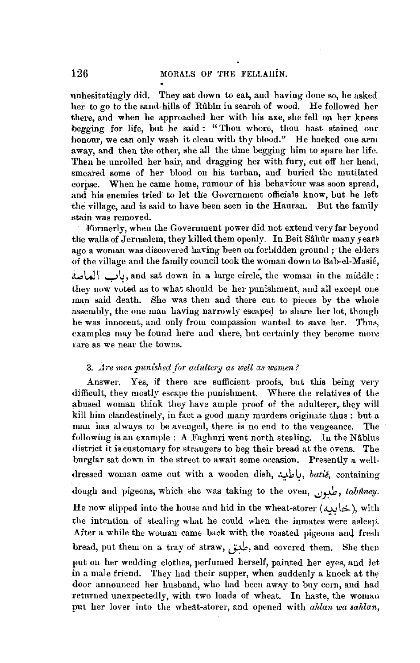unhesitatingly did. They sat down to eat, and having done so, he asked her to go to the sand-hills of Rûbîn in search of wood. He followed her there, and when he approached her with his axe, she fell on her knees begging for life, but he said: "Thou whore, thou hast stained our honour, we can only wash it clean with thy blood." He hacked one arm away, and then the other, she all the time begging him to spare her life. Then he.unrolled her hair, and dragging her with fury, cut off her head, smeared some of her blood on his turban, and buried the mutilated corpse. When he came home, rumour of his behaviour was soon spread, and his enemies tried to let the Government officials know, but he left the village, and is said to have been seen in the Hauran. But the family stain was removed.

Formerly, when the Government power did not extend very far beyond the walls of Jerusalem, they killed them openly. In Beit Sahur many years ago a woman was discovered having been on forbidden ground ; the elders of the village and the family council took the woman down to Bab-el-Masié, **a...,lJ\** ~~' and sat down in a large circl;, the woman in the middle: they now voted as to what should be her punishment, and all except one man said death. She was then and there cut to pieces by the whole assembly, the one man having narrowly escaped to share her lot, though he was innocent, and only from compassion wanted to save her. Thus, examples may be found here and there, but certainly they berome more rare as we near the towns.

#### 3. Are men punished for adultery as well as women?

Answer. Yes, if there are sufficient proofs, but this being very difficult, they mostly escape the punishment. Where the relatives of the abused woman think they have ample proof of the adulterer, they will kill him clandestinely, in fact a good many murders originate thus : but a man has always to be avenged, there is no end to the vengeance. The following is an example : A Faghuri went north stealing. In the Nâblus district it is customary for straugers to beg their bread at the ovens. The burglar sat down in the street to await some occasion. Presently a well dressed woman came out with a wooden dish, باطبه, *batie*, containing dough and pigeons, which she was taking to the oven, يأبون, tabuney. He now slipped into the house and hid in the wheat-storer (خابيه), with the intention of stealing what he could when the inmates were asleep. After a while the woman came back with the roasted pigeons and fresh bread, put them on a tray of straw, طبق, and covered them. She then put on her wedding clothes, perfumed herself, painted her eyes, and let in a male friend. They had their supper, when suddenly a knock at the door announced her husband, who had been away to buy corn, and had returned unexpectedly, with two loads of wheat. In haste, the woman put her lover into the wheat-storer, and opened with *ahlan wa sahlan,*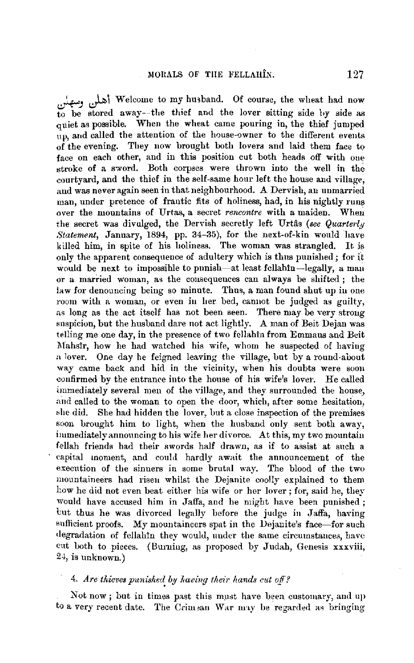لعلل وسهلن ) Welcome to my husband. Of course, the wheat had now to be stored away--the thief and the lover sitting side hy side as quiet as possible. When the wheat came ponring in, the thief jumped np, and called the attention of the house-owner to the different events of the evening. They now brought both lovers and laid them face to face on each other, and in this position cut both heads off with oue stroke of a sword. Both corpses were thrown into the well in the courtyard, and the thief in the self-same hour left the house and village, and was never again seen in that neighbourhood. A Dervish, an unmarried man, under pretence of frantic fits of holiness, had, in his nightly runs over the mountains of Urtas, a secret *rencontre* with a maiden. When the secret was divulged, the Dervish secretly left Urtas *(see Quarterly Statement, January, 1894, pp. 34-35), for the next-of-kin would have* killed him, in spite of his holiness. The woman was strangled. It is only the apparent consequence of adultery which is thus punished; for it would be next to impossible to punish-at least fellahin-legally, a man or a married woman, as the consequences can always be shifted ; the law for denouncing being so minute. Thus, a man found shut up in one room with a woman, or even in her bed, cannot be judged as guilty, as long as the act itself has not been seen. There may be very strong suspicion, but the husband dare not act lightly. A man of Beit Dejan was telling me one day, in the presence of two fellahin from Emmaus and Beit Mahsir, how he had watched his wife, whom he suspected of having a lover. One day he feigned leaving the village, but by a round-about way came back and hid in the Yicinity, when his doubts were soon confirmed by the entrance into the house of his wife's lover. He called immediately several men of the village, and they surrounded the house., and called to the woman to open the door, which, after some hesitation, she did. She had hidden the lover, but a close inspection of the premises soon brought him to light, when the husband only sent both away, immediately announcing to his wife her divorce. At this, my *two* mountain fellah friends had their swords half drawn, as if to assist at such a capital inoment, and could hardly await the announcement of the execution of the sinners in some brutal way. The blood of the two mountaineers had risen whilst the Dejanite coolly explained to them how he did not even beat either his wife or her lover; for, said he, they would have accused him in Jaffa, and he might have been punished; but thus he was divorced legally before the judge in Jaffa, having sufficient proofs. My mountaineers spat in the Dejanite's face-for such degradation of fellahin they would, under the same circumstances, have cut both to pieces. (Burning, as proposed by Judah, Genesis xxxviii, 24, is unknown.)

#### 4. *Are tliieves punishe1~* by *having thefr hands cut off?*

Not now; but in times past this must have been customary, and up to a very recent date. The Crimean War may be regarded as bringing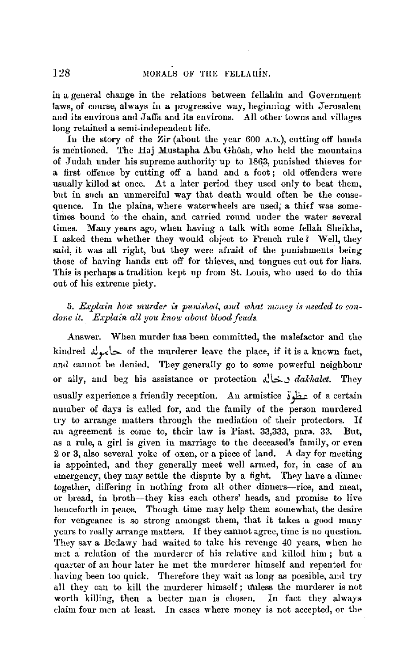in a general change in the relations between fellahin and Government laws, of course, always in a progressive way, beginning with Jerusalem and its environs and Jaffa and its environs. All other towns and villages long retained a semi-independent life.

In the story of the **Zir** (about the year 600 A.D.), cutting off hands is mentioned. The Haj Mustapha Abu Ghôsh, who held the mountains of Judah under his supreme authority up to 1863, punished thieves for a first offence by cutting off a hand and a foot ; old offenders were usually killed at once. At a later period they used only to beat them, but in snch an unmerciful way that death would often be the consequence. In the plains, where waterwheels are used; a thief was sometimes bound to the chain, and carried round under the water several times. Many years ago, when having a talk with some fellah Sheikhs, I asked them whether they would object to French rule? Well, they said, it was all right, but they were afraid of the punishments being those of having hands cut off for thieves, and tongues cut out for liars. This is perhaps a tradition kept np from St. Louis, who used to do this out of his extreme piety.

## 5. *Explain how murder is punished, and what money is needed to condone it. Explain all you know about blood feuds.*

Answer. When murder has been committed, the malefactor and the kindred Alpedes of the murderer-leave the place, if it is a known fact, and cannot be denied. They generally go to some powerful neighbour or ally, and beg his assistance or protection  $\Delta$ .  $d\Delta k$ halet. They usually experience a friendly reception. .An armistice *i* fa,; of a certain number of days is called for, and the family of the person murdered try to arrange matters through the mediation of their protectors. If an agreement is come to, their law is Piast. 33,333, para. 33. But, as a rule, a girl is given in marriage to the deceased's family, or even 2 or 3, also several yoke of oxen, or a piece of land. A day for meeting is appointed, and they generally meet well armed, for, in case of au emergency, they may settle the dispute by a fight. They have a dinner together, differing in nothing from all other dinners-rice, and meat, or bread, in broth-they kiss each others' heads, and promise to live henceforth in peace. Though time may help them somewhat, the desire for vengeance is so strong amongst them, that it takes a good many years to really arrange matters. If they cannot agree, time is no question. They say a Bedawy had waited to fake his revenge 40 years, when he met a relation of the murderer of his relative and killed him ; but a quarter of an hour later he met the murderer himself and repented for having been too quick. Therefore they wait as long as possible, and try all they can to kill the murderer himself; u'nless the murderer is not worth killing, then a better man is chosen. In fact they always daim four men at least. In cases where money is not accepted, or the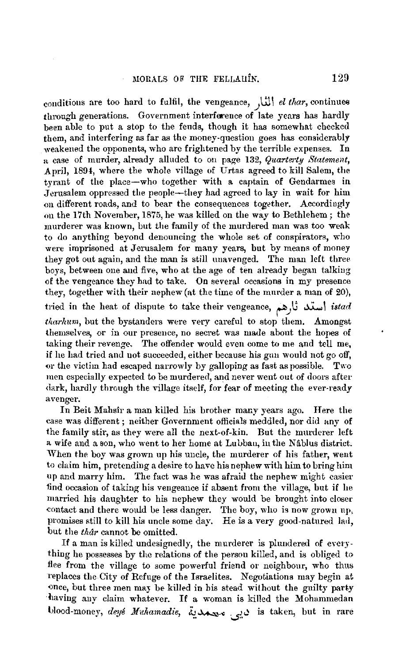conditions are too hard to fulfil, the vengeance, .J\ll I *el thar,* continues through generations. Government interference of late years has hardly been able to put a stop to the fends, though it has somewhat checked them, and interfering as far as the money-question goes has considerably weakened the opponents, who are frightened by the terrible expenses. In a case of murder, already alluded to on page 132, Quarterty Statement, April, 1894, where the whole village of Urtas agreed to kill Salem, the tyrant of the place-who together with a captain of Gendarmes in Jerusalem oppressed the people-they had agreed to lay in wait for him on different roads, and to bear the consequences together. Accordingly on the 17th November, 1875, he was killed on the way to Bethlehem; the murderer was known, but the family of the murdered man was too weak to do anything beyond denouncing the whole set of conspirators, who were imprisoned at Jerusalem for many years, but by means of money they got out again, and the man is still unavenged. The man left three boys, between one aud five, who at the age of ten already began talking of the vengeance they had to take. On several occasions in my presence they, together with their nephew (at the time of the murder a man of 20), tried in the heat of dispute to take their vengeance, أستد ثارهم *tharhum*, but the bystanders were very careful to stop them. Amongst themselves, or in our preseuce, no secret was made about the hopes of taking their revenge. The offender would even come to me and tell me, if he had tried and not succeeded, either because his gun would not go off, 01· the victim had escaped narrowly by galloping as fast as possible. Two men especially expected to be murdered, and never went out of doors after dark, hardly through the village itself, for fear of meeting the ever-ready avenger.

In Beit Mahsir a man killed his brother many years ago. Here the case was different ; neither Government officials meddled, nor did any of the family stir, as they were all the next-of-kin. But the murderer left a wife and a son, who went to her home at Lubban, in the Nablus district. When the boy was grown up his uncle, the murderer of his father, went to claim him, pretending a desire to have his nephew with him to bring him up and marry him. The fact was he was afraid the nephew might easier find occasion of taking his vengeance if absent from the village, but if he married his daughter to his nephew they would be brought into closer contact and there would be less danger. The boy, who is now grown up, promises still to kill his uncle some day. He is a very good-natured lad, but the *thar* cannot be omitted.

If a man is killed undesignedly, the murderer is plundered of everything he possesses by the relations of the person killed, and is obliged to flee from the village to some powerful friend or neighbour, who thus replaces the City of Refuge of the Israelites. Negotiations may begin at once, but three men may be killed in his stead without the guilty party having any claim whatever. If a woman is killed the Mohammedan Llood-money, *de'ljd .:Jfohamadie,* '½\_~.,..., J..,j is taken, but in rare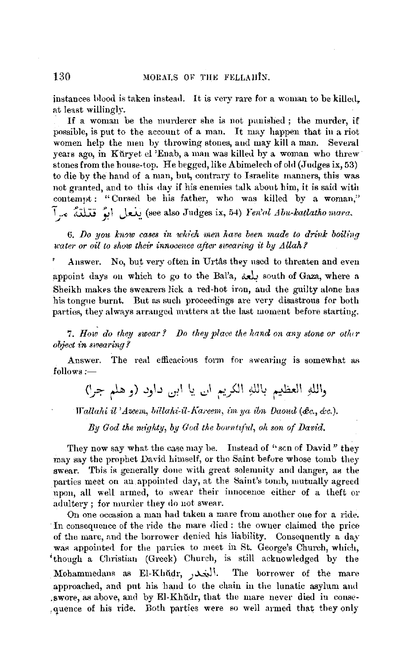instances blood is taken instead. It is very rare for a woman to be killed, at least willingly.

If a woman be the murderer she is not punished; the murder, if possible, is put to the account of a man. It may happen that in a riot women help the men by throwing stones, and may kill a man. Several years ago, in Küryet el 'Enab, a man was killed by a woman who threw stones from the house-top. He begged, like Abimelech of old (Judges ix, 53) to die by the hand of a man, but, contrary to Israelite manners, this was not granted, and to this day if his enemies talk about him, it is said with contempt: "Cursed be his father, who was killed by a woman," \,., ~ ~ \ *,)~.* (see also Judges ix, 54) *Yen'<1l ~4 bu-lcatlatho* niam.

6. Do you knew cases in which men have been made to drink boiling *water or oil to show their innocence after swearing it by Allah?* 

Answer. No, but very often in Urtâs they used to threaten and even appoint days on which to go to the Bal'a, a south of Gaza, where a Sheikh makes the swearers lick a red-hot iron, and the guilty alone has his tongne burnt. But as such proceedings are very disastrous for both parties, they always arranged matters at the last moment before starting.

7. How do they swear? Do they place the hand on any stone or other *object in swearing l* 

Answer. The real efficacious form for swearing is somewhat as follows:-

واللهِ العظيم باللهِ الكريم ال يا ابن داود (و هلم جرا)

*Wallahi il 'Azeeni, billahi-il-Km·eem, iin ya ibn Daond (&c., &c.).* 

By God the mighty, by God the bountiful, oh son of David.

They now say what the case may be. Instead of "son of David" they may say the prophet David himself, or the Saint before whose tomb they swear. This is generally done with great solemnity and danger, as the parties meet on an appointed day, at the Saint's tomb, mutually agreed upon, all well armed, to swear their innocence either of a theft or adultery; for murder they do not swear.

On one occasion a man had taken a mare from another one for a ride. · In consequence of the ride the mare died : the owner claimed the price of the mare, and the borrower denied his liability. Consequently a day was appointed for the parties to meet in St. George's Church, which, 'though a Christian (Greek) Church, is still acknowledged by the Mohammedans as El-Khŭdr, أنخدر. The borrower of the mare approached, and put bis hand to the chain in the lunatic asylum aml , swore, as above, and by El-Khudr, that the mare never died in conse-,quence of his ride. Both parties were so well armed that they only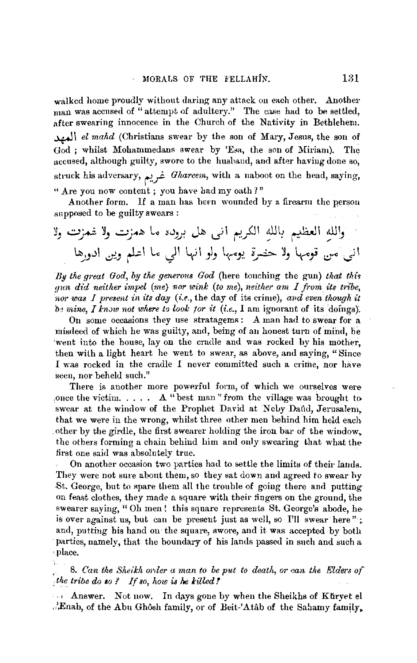walked home proudly without daring any attack on each other. Another man was accused of "attempt of adultery." The case had to be settled. after swearing innocence in the Church of the Nativity in Bethlehem. ~ <sup>I</sup>*el mahd* (Christians swear by the son of Mary, Jesus, the son of God ; whilst Mohammedans swear by 'Esa, the son of Miriam). The accused, although guilty, swore to the husband, and after having done so, struck his adversary, غريم Ghareem, with a naboot on the head, saying, "Are you now content ; you have had my oath?"

Another form. If a man has been wounded by a firearm the person supposed to be guilty swears :

~, ..:;..,:;...i Y\_, *...:.:\_; ..* ~ L,., ~..,\_,j ,.J~ uj\ t,'..r(ll ~l~ ~I ~~ *UI,))* \_, \ *d,.)* ~ \ lo J 1 '-tj \ }., l.,\_... J?. ~...i:,... Y \_, '-t-,c-" -.:r" *J* <sup>I</sup>

*By the great God, by the generous God* (here touching the gun) *that thir gun did neither impel (me) nor wink (to me), neither am I from its tribe, nor was I present in its day (i.e., the day of its crime), and even though it in mine, I knc1w not where to look for it (i.e.,* I am ignorant of its doings).

On some occasions they use stratagems : A man had to swear for a misdeed of which he was guilty, and, being of au honest turn of mind, he went into the house, lay on the cradle and was rocked by his mother. then with a light heart he went to swear, as above, and saying, "Since I was rocked in the cradle *I* never committed such a crime, nor have seen, nor beheld such."

There is another more powerful form, of which we ourselves were once the victim.  $\ldots$  . A "best man" from the village was brought to swear at the window of the Prophet David at Neby Dand, Jerusalem, that we were in the wrong, whilst three other men behind him held each other by the girdle, the first swearer holding the iron bar of the window. the others forming a chain behind him and only swearing that what the first one said was absolutely true.

On another occasion two parties hatl to settle the limits of their lands. They were not sure abont them, so they sat down and agreed to swear by St. George, but to spare them all the trouble of going there and putting on feast clothes, they made a square with their fingers on the ground, the swearer saying, "Oh men! this square represents St. George's abode, he is over against us, but can be present just as well, so I'll swear here"·;. and, putting his hand on the square, swore, and it was accepted by both parties, namely, that the boundary of his lands passed in such and such a ,place.

## 8. Can the Sheikh order a man to be put to death, or can the Elders of : *the tribe do so* ? *If so, how* is *he killed!*

• Answer. Not now. In days gone by when the Sheikhs of Küryet el ...'Enab, of the Abu Ghôsh family, or of Beit-'Atâb of the Sahamy family,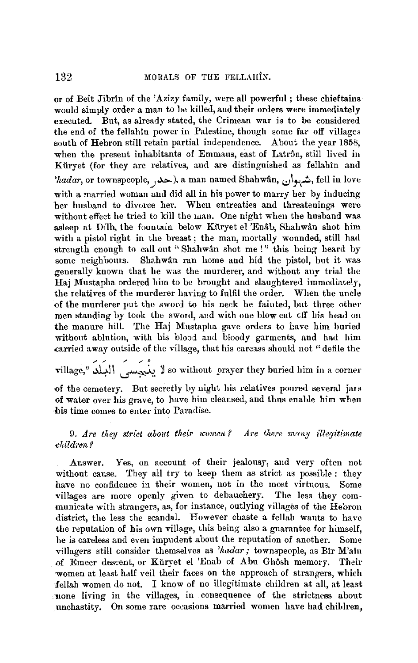or of Beit Jibrin of the 'Azizy family, were all powerful; these chieftains would simply order a man to be killed, and their orders were immediately executed. Bnt, as already stated, the Crimean war is to be considered the end of the fellahin power in Palestine, though some far off villages south of Hebron still retain partial independence. About the year 1858, when the present inhabitants of Emmaus, east of Latrôn, still lived in Kürvet (for they are relatives, and are distinguished as fellahin and *'hadar*, or townspeople, حد<sub>ا</sub>, a man named Shahwân, شهبوان, fell in Iove with a married woman and did all in his power to marry her by inducingher husband to divorce her. When entreaties and threatenings were without effect he tried to kill the man. One night when the husband was asleep at Dilb, the fountain below Ktiryet el 'Enab, Shahwan shot him with a pistol right in the breast; the man, mortally wounded, still had strength enough to call out "Shahwan shot me!" this being heard by some neighbours. Shahwan ran home and hid the pistol, but it was generally known that he was the murderer, and without any trial the **Haj** Mustapha ordered him to be brought and slaughtered immediately, the relatives of the murderer having to fulfil the order. When the uncle of the murderer put the sword to his neck he fainted, but three other men standing by took the sword, and with one blow cut off his head on the manure hill. The Haj Mustapha gave orders to have him buried without ablution, with his blood and bloody garments, and had him carried away outside of the village, that his carcass should not "defile the

village," أَيُجَسِسَ البَعْدُ "so without prayer they buried him in a corner

of the cemetery. But secretly by night his relatives poured several jars of water over his grave, to have him cleansed, and thus enable him when his time comes to enter into Paradise.

9. Are they strict about their women? Are there many illegitimate ehildren?

Answer. Yes, on account of their jealousy, and very often not without cause. They all try to keep them as strict as possible; they have no confidence in their women, not in the most virtuous. Some villages are more openly given to debauchery. The less they communicate with strangers, as, for instance, outlying villages of the Hebron district, the less the scandal. However chaste a fellah wants to have the reputation of his own village, this being also a guarantee for himself, he is careless and even impudent about the reputation of another. Some villagers still consider themselves as *'hadar;* townspeople, as Bir M'ain of Emeer descent, or Kuryet el 'Enab of Abu Ghôsh memory. Their women at least half veil their faces on the approach of strangers, which fellah women do not. I know of no illegitimate children at all, at least .·none living in the villages, in consequence of the strictness about unchastity. On some rare occasions married women have had children,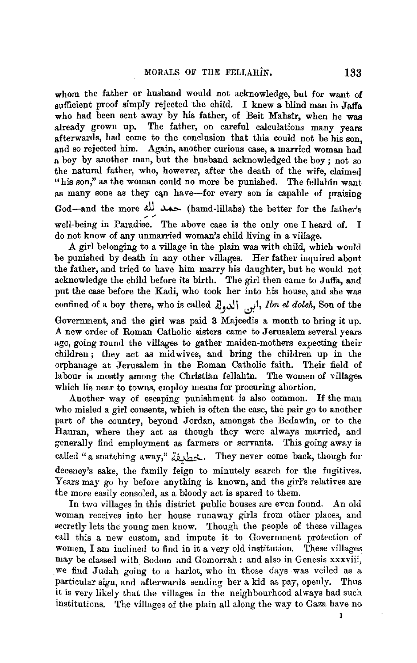whom the father or husband would not acknowledge, but for want of sufficient proof simply rejected the child. I knew a blind man in Jaffa who had been sent away by his father, of Beit Mahstr, when he was already grown up. The father, on careful calculations many years afterwards, had come to the conclusion that this could not be his son, and so rejected him. Again, another curious case, a married woman had a boy by another man, but the husband acknowledged the boy ; not so the natural father, who, however, after the death of the wife, claimeq "his son," as the woman could no more be punished. The fellahin want as many sons as they can have-for every son is capable of praising God-and the more du was (hamd-lillahs) the better for the father's well-being in Paradise. The above case is the only one I heard of. I do not know of any unmarried woman's child living in a village.

A girl belonging to a village in the plain was with child, which would be punished by death in any other villages. Her father inquired about the father, and tried to have him marry his daughter, but he would not acknowledge the child before its birth. The girl then came to Jaffa, and pnt the case before the Kadi, who took her into his house, and she was confined of a boy there, who is called i,  $\left| \overrightarrow{L}_{1} \right|$ , *Ibn el doleh*, Son of the

Government, and the girl was paid **3** Majeedis a month to bring it up. **A** new order of Roman Catholic sisters came to Jerusalem several years ago, going round the villages to gather maiden-mothers expecting their children; they act as midwives, and bring the children up in the orphanage at Jerusalem in the Roman Catholic faith. Their field of labour is mostly among the Christian fellahin. The women of villages which lie near to towns, employ means for procuring abortion.

Another way of escaping punishment is also common. If the man who misled a girl consents, which is often the case, the pair go to another part of the country, beyond Jordan, amongst the Bedawin, or to the Hauran, where they act as though they were always married, and generally find employment as farmers or servants. This going away is called "a snatching away," حَطْدِيَة. They never come back, though for decency's sake, the family feign to minutely search for the fugitives. Years may go by before anything is known, and the girl's relatives are the more easily consoled, as a bloody act is spared to them.

In two villages in this district public houses are even found. An old woman receives into her house runaway girls from other places, and secretly lets the young men kuow. Though the people of these villages call this a new custom, and impute it to Government protection of women, I am inclined to find in it a very old institution. These villages may be classed with Sodom and Gomorrah : and also in Genesis xxxviii, we find Judah going to a harlot, who in those days was veiled as a particular sign, and afterwards sending her a kid as pay, openly. Thus it is very likely that the villages in the neighbourhood always had such institutions. The villages of the plain all along the way to Gaza have no

I